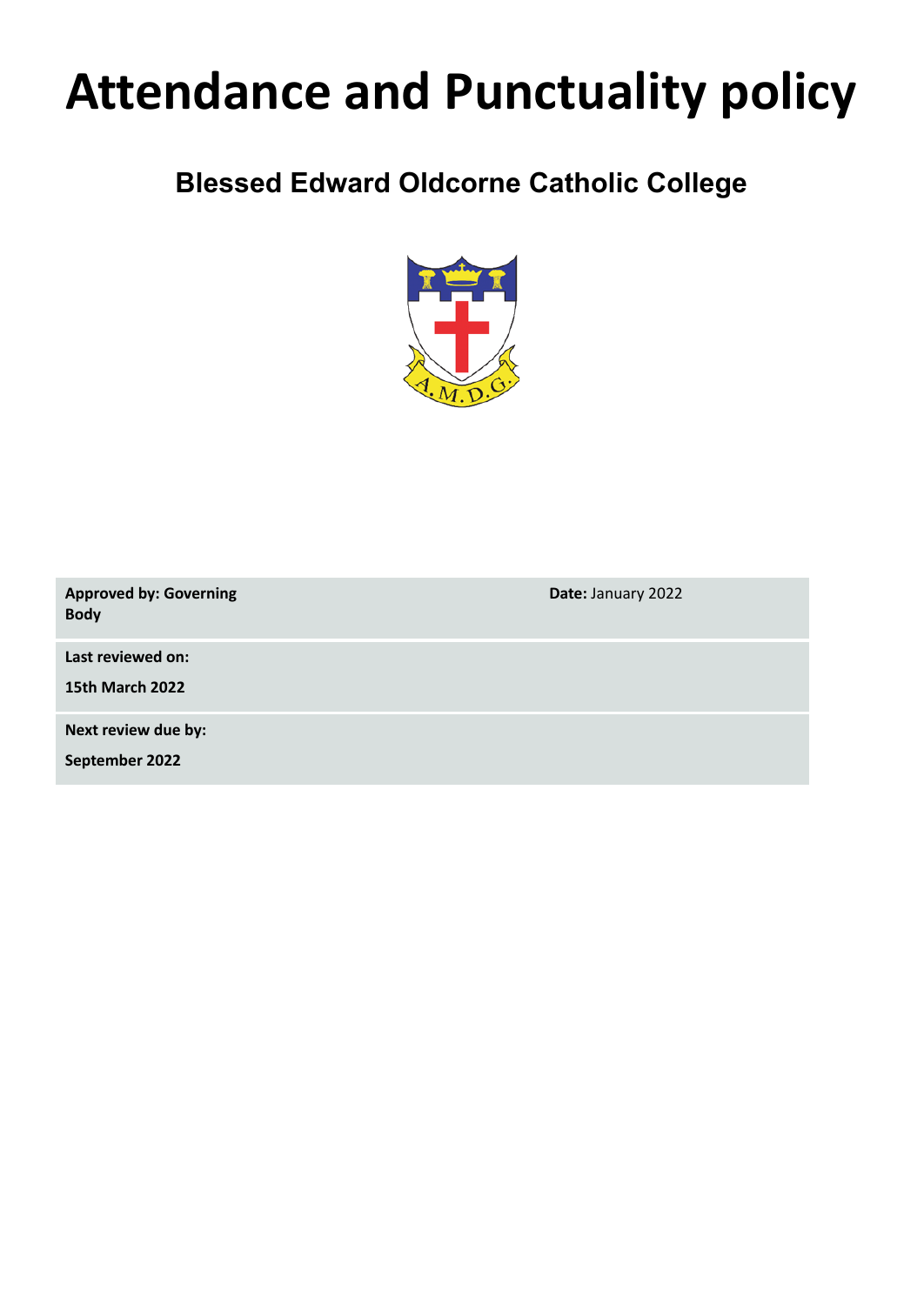# **Attendance and Punctuality policy**

# **Blessed Edward Oldcorne Catholic College**



| <b>Approved by: Governing</b><br><b>Body</b> | Date: January 2022 |
|----------------------------------------------|--------------------|
| Last reviewed on:                            |                    |
| <b>15th March 2022</b>                       |                    |
| Next review due by:                          |                    |
| September 2022                               |                    |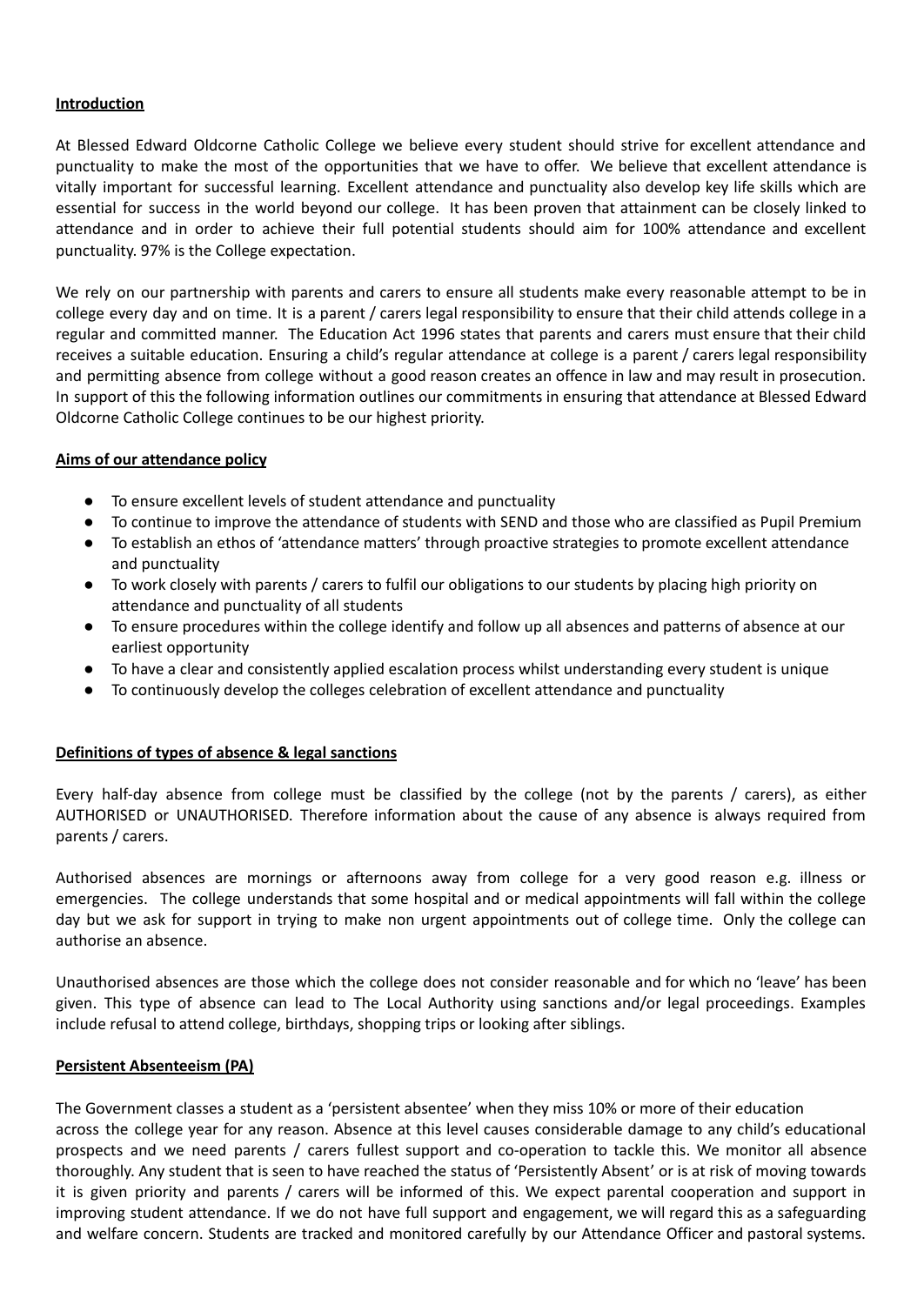#### **Introduction**

At Blessed Edward Oldcorne Catholic College we believe every student should strive for excellent attendance and punctuality to make the most of the opportunities that we have to offer. We believe that excellent attendance is vitally important for successful learning. Excellent attendance and punctuality also develop key life skills which are essential for success in the world beyond our college. It has been proven that attainment can be closely linked to attendance and in order to achieve their full potential students should aim for 100% attendance and excellent punctuality. 97% is the College expectation.

We rely on our partnership with parents and carers to ensure all students make every reasonable attempt to be in college every day and on time. It is a parent / carers legal responsibility to ensure that their child attends college in a regular and committed manner. The Education Act 1996 states that parents and carers must ensure that their child receives a suitable education. Ensuring a child's regular attendance at college is a parent / carers legal responsibility and permitting absence from college without a good reason creates an offence in law and may result in prosecution. In support of this the following information outlines our commitments in ensuring that attendance at Blessed Edward Oldcorne Catholic College continues to be our highest priority.

#### **Aims of our attendance policy**

- To ensure excellent levels of student attendance and punctuality
- To continue to improve the attendance of students with SEND and those who are classified as Pupil Premium
- To establish an ethos of 'attendance matters' through proactive strategies to promote excellent attendance and punctuality
- To work closely with parents / carers to fulfil our obligations to our students by placing high priority on attendance and punctuality of all students
- To ensure procedures within the college identify and follow up all absences and patterns of absence at our earliest opportunity
- To have a clear and consistently applied escalation process whilst understanding every student is unique
- To continuously develop the colleges celebration of excellent attendance and punctuality

#### **Definitions of types of absence & legal sanctions**

Every half-day absence from college must be classified by the college (not by the parents / carers), as either AUTHORISED or UNAUTHORISED. Therefore information about the cause of any absence is always required from parents / carers.

Authorised absences are mornings or afternoons away from college for a very good reason e.g. illness or emergencies. The college understands that some hospital and or medical appointments will fall within the college day but we ask for support in trying to make non urgent appointments out of college time. Only the college can authorise an absence.

Unauthorised absences are those which the college does not consider reasonable and for which no 'leave' has been given. This type of absence can lead to The Local Authority using sanctions and/or legal proceedings. Examples include refusal to attend college, birthdays, shopping trips or looking after siblings.

#### **Persistent Absenteeism (PA)**

The Government classes a student as a 'persistent absentee' when they miss 10% or more of their education across the college year for any reason. Absence at this level causes considerable damage to any child's educational prospects and we need parents / carers fullest support and co-operation to tackle this. We monitor all absence thoroughly. Any student that is seen to have reached the status of 'Persistently Absent' or is at risk of moving towards it is given priority and parents / carers will be informed of this. We expect parental cooperation and support in improving student attendance. If we do not have full support and engagement, we will regard this as a safeguarding and welfare concern. Students are tracked and monitored carefully by our Attendance Officer and pastoral systems.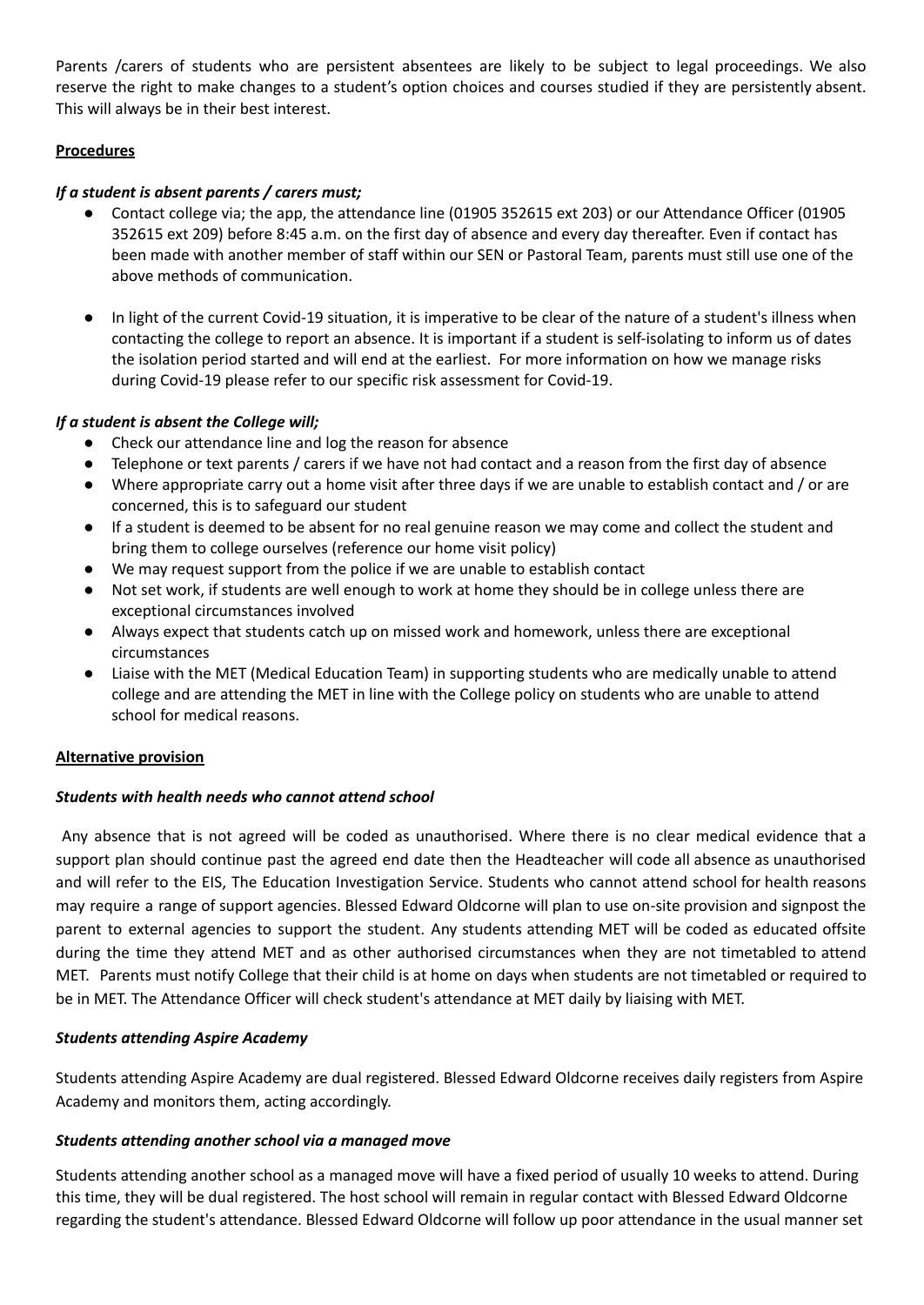Parents /carers of students who are persistent absentees are likely to be subject to legal proceedings. We also reserve the right to make changes to a student's option choices and courses studied if they are persistently absent. This will always be in their best interest.

# **Procedures**

# *If a student is absent parents / carers must;*

- Contact college via; the app, the attendance line (01905 352615 ext 203) or our Attendance Officer (01905 352615 ext 209) before 8:45 a.m. on the first day of absence and every day thereafter. Even if contact has been made with another member of staff within our SEN or Pastoral Team, parents must still use one of the above methods of communication.
- In light of the current Covid-19 situation, it is imperative to be clear of the nature of a student's illness when contacting the college to report an absence. It is important if a student is self-isolating to inform us of dates the isolation period started and will end at the earliest. For more information on how we manage risks during Covid-19 please refer to our specific risk assessment for Covid-19.

# *If a student is absent the College will;*

- Check our attendance line and log the reason for absence
- Telephone or text parents / carers if we have not had contact and a reason from the first day of absence
- Where appropriate carry out a home visit after three days if we are unable to establish contact and / or are concerned, this is to safeguard our student
- If a student is deemed to be absent for no real genuine reason we may come and collect the student and bring them to college ourselves (reference our home visit policy)
- We may request support from the police if we are unable to establish contact
- Not set work, if students are well enough to work at home they should be in college unless there are exceptional circumstances involved
- Always expect that students catch up on missed work and homework, unless there are exceptional circumstances
- Liaise with the MET (Medical Education Team) in supporting students who are medically unable to attend college and are attending the MET in line with the College policy on students who are unable to attend school for medical reasons.

# **Alternative provision**

# *Students with health needs who cannot attend school*

Any absence that is not agreed will be coded as unauthorised. Where there is no clear medical evidence that a support plan should continue past the agreed end date then the Headteacher will code all absence as unauthorised and will refer to the EIS, The Education Investigation Service. Students who cannot attend school for health reasons may require a range of support agencies. Blessed Edward Oldcorne will plan to use on-site provision and signpost the parent to external agencies to support the student. Any students attending MET will be coded as educated offsite during the time they attend MET and as other authorised circumstances when they are not timetabled to attend MET. Parents must notify College that their child is at home on days when students are not timetabled or required to be in MET. The Attendance Officer will check student's attendance at MET daily by liaising with MET.

# *Students attending Aspire Academy*

Students attending Aspire Academy are dual registered. Blessed Edward Oldcorne receives daily registers from Aspire Academy and monitors them, acting accordingly.

# *Students attending another school via a managed move*

Students attending another school as a managed move will have a fixed period of usually 10 weeks to attend. During this time, they will be dual registered. The host school will remain in regular contact with Blessed Edward Oldcorne regarding the student's attendance. Blessed Edward Oldcorne will follow up poor attendance in the usual manner set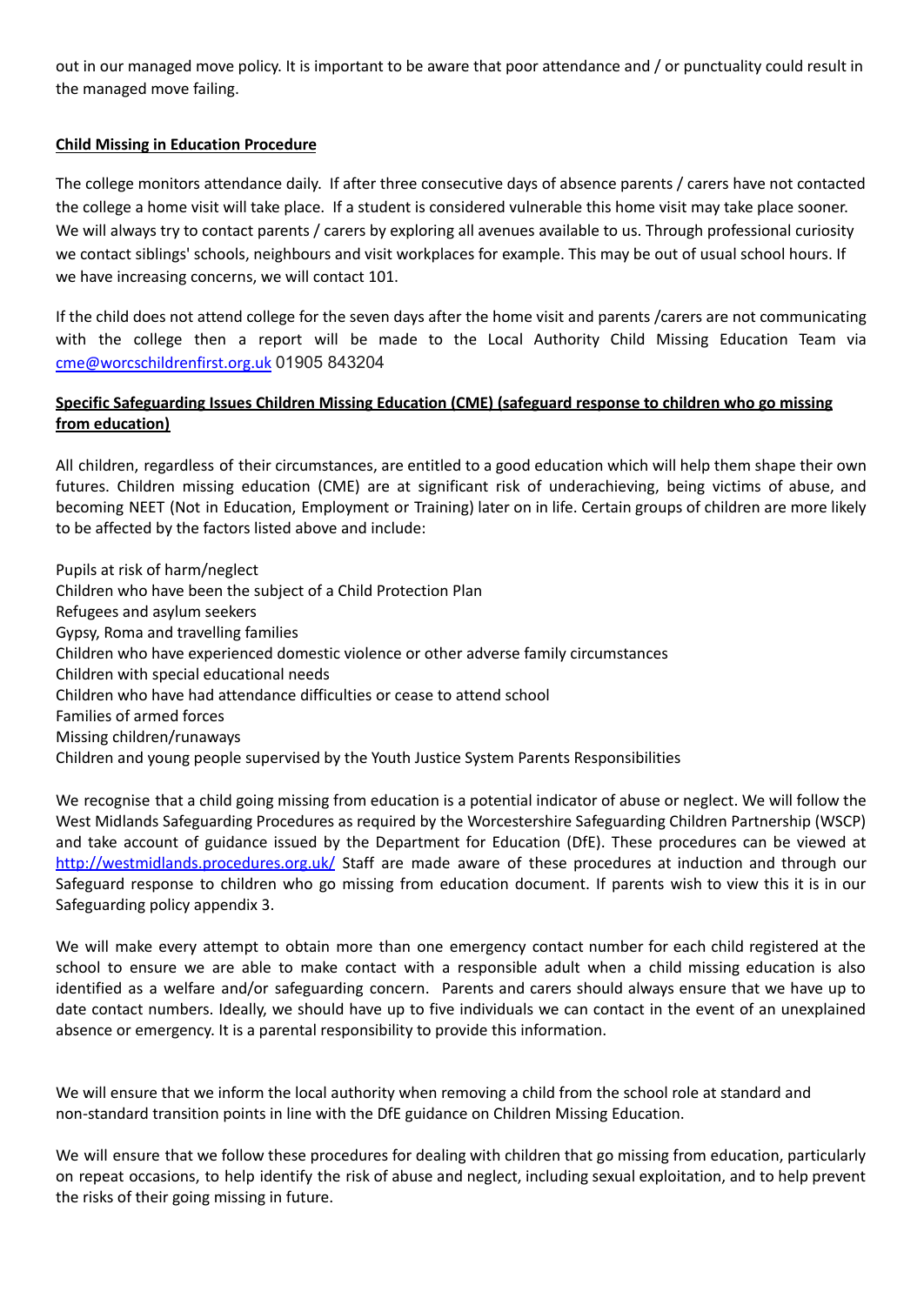out in our managed move policy. It is important to be aware that poor attendance and / or punctuality could result in the managed move failing.

# **Child Missing in Education Procedure**

The college monitors attendance daily. If after three consecutive days of absence parents / carers have not contacted the college a home visit will take place. If a student is considered vulnerable this home visit may take place sooner. We will always try to contact parents / carers by exploring all avenues available to us. Through professional curiosity we contact siblings' schools, neighbours and visit workplaces for example. This may be out of usual school hours. If we have increasing concerns, we will contact 101.

If the child does not attend college for the seven days after the home visit and parents /carers are not communicating with the college then a report will be made to the Local Authority Child Missing Education Team via [cme@worcschildrenfirst.org.uk](mailto:cme@worcschildrenfirst.org.uk) 01905 843204

## **Specific Safeguarding Issues Children Missing Education (CME) (safeguard response to children who go missing from education)**

All children, regardless of their circumstances, are entitled to a good education which will help them shape their own futures. Children missing education (CME) are at significant risk of underachieving, being victims of abuse, and becoming NEET (Not in Education, Employment or Training) later on in life. Certain groups of children are more likely to be affected by the factors listed above and include:

Pupils at risk of harm/neglect Children who have been the subject of a Child Protection Plan Refugees and asylum seekers Gypsy, Roma and travelling families Children who have experienced domestic violence or other adverse family circumstances Children with special educational needs Children who have had attendance difficulties or cease to attend school Families of armed forces Missing children/runaways Children and young people supervised by the Youth Justice System Parents Responsibilities

We recognise that a child going missing from education is a potential indicator of abuse or neglect. We will follow the West Midlands Safeguarding Procedures as required by the Worcestershire Safeguarding Children Partnership (WSCP) and take account of guidance issued by the Department for Education (DfE). These procedures can be viewed at <http://westmidlands.procedures.org.uk/> Staff are made aware of these procedures at induction and through our Safeguard response to children who go missing from education document. If parents wish to view this it is in our Safeguarding policy appendix 3.

We will make every attempt to obtain more than one emergency contact number for each child registered at the school to ensure we are able to make contact with a responsible adult when a child missing education is also identified as a welfare and/or safeguarding concern. Parents and carers should always ensure that we have up to date contact numbers. Ideally, we should have up to five individuals we can contact in the event of an unexplained absence or emergency. It is a parental responsibility to provide this information.

We will ensure that we inform the local authority when removing a child from the school role at standard and non-standard transition points in line with the DfE guidance on Children Missing Education.

We will ensure that we follow these procedures for dealing with children that go missing from education, particularly on repeat occasions, to help identify the risk of abuse and neglect, including sexual exploitation, and to help prevent the risks of their going missing in future.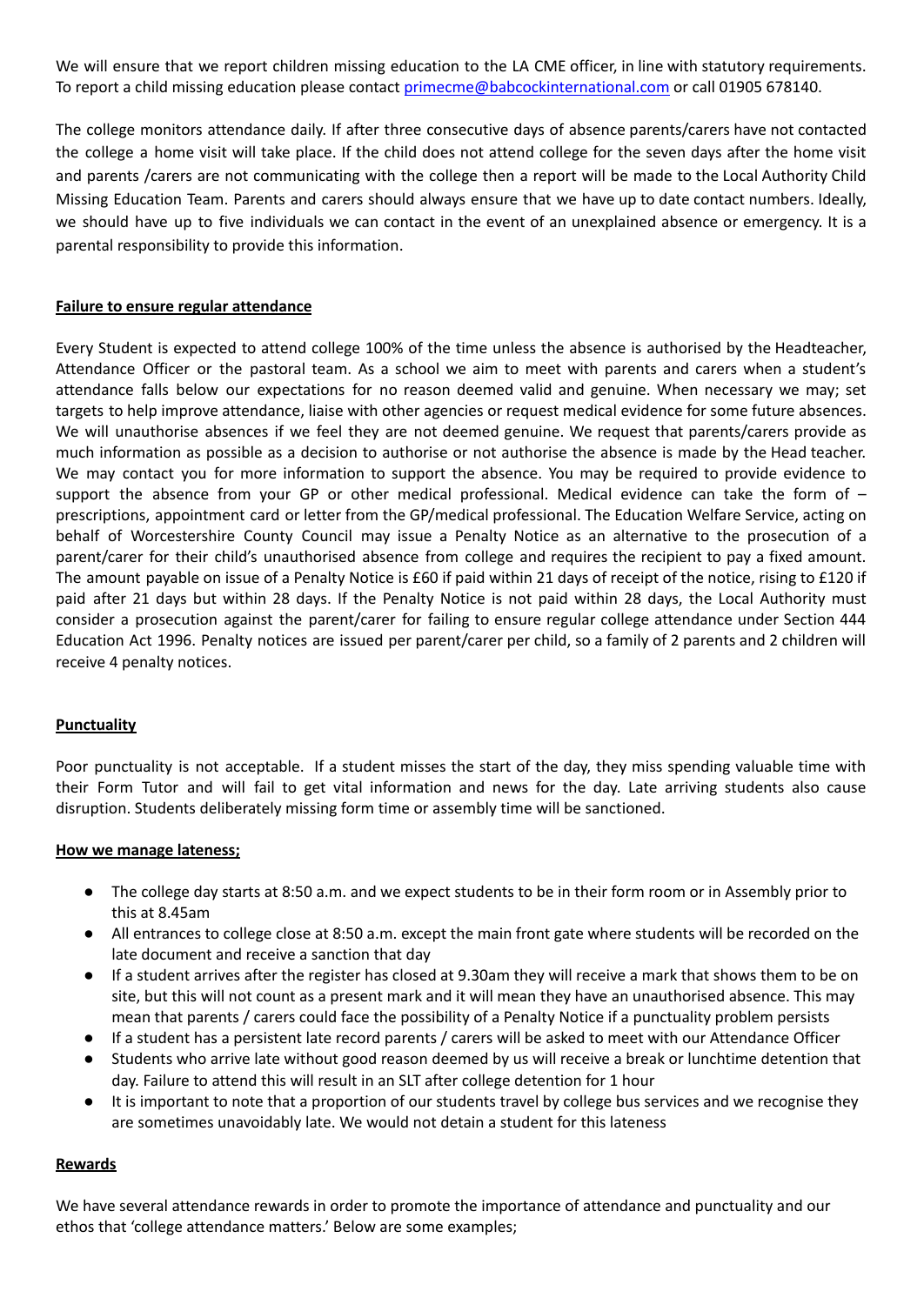We will ensure that we report children missing education to the LA CME officer, in line with statutory requirements. To report a child missing education please contact [primecme@babcockinternational.com](mailto:primecme@babcockinternational.com) or call 01905 678140.

The college monitors attendance daily. If after three consecutive days of absence parents/carers have not contacted the college a home visit will take place. If the child does not attend college for the seven days after the home visit and parents /carers are not communicating with the college then a report will be made to the Local Authority Child Missing Education Team. Parents and carers should always ensure that we have up to date contact numbers. Ideally, we should have up to five individuals we can contact in the event of an unexplained absence or emergency. It is a parental responsibility to provide this information.

#### **Failure to ensure regular attendance**

Every Student is expected to attend college 100% of the time unless the absence is authorised by the Headteacher, Attendance Officer or the pastoral team. As a school we aim to meet with parents and carers when a student's attendance falls below our expectations for no reason deemed valid and genuine. When necessary we may; set targets to help improve attendance, liaise with other agencies or request medical evidence for some future absences. We will unauthorise absences if we feel they are not deemed genuine. We request that parents/carers provide as much information as possible as a decision to authorise or not authorise the absence is made by the Head teacher. We may contact you for more information to support the absence. You may be required to provide evidence to support the absence from your GP or other medical professional. Medical evidence can take the form of  $$ prescriptions, appointment card or letter from the GP/medical professional. The Education Welfare Service, acting on behalf of Worcestershire County Council may issue a Penalty Notice as an alternative to the prosecution of a parent/carer for their child's unauthorised absence from college and requires the recipient to pay a fixed amount. The amount payable on issue of a Penalty Notice is £60 if paid within 21 days of receipt of the notice, rising to £120 if paid after 21 days but within 28 days. If the Penalty Notice is not paid within 28 days, the Local Authority must consider a prosecution against the parent/carer for failing to ensure regular college attendance under Section 444 Education Act 1996. Penalty notices are issued per parent/carer per child, so a family of 2 parents and 2 children will receive 4 penalty notices.

#### **Punctuality**

Poor punctuality is not acceptable. If a student misses the start of the day, they miss spending valuable time with their Form Tutor and will fail to get vital information and news for the day. Late arriving students also cause disruption. Students deliberately missing form time or assembly time will be sanctioned.

#### **How we manage lateness;**

- The college day starts at 8:50 a.m. and we expect students to be in their form room or in Assembly prior to this at 8.45am
- All entrances to college close at 8:50 a.m. except the main front gate where students will be recorded on the late document and receive a sanction that day
- If a student arrives after the register has closed at 9.30am they will receive a mark that shows them to be on site, but this will not count as a present mark and it will mean they have an unauthorised absence. This may mean that parents / carers could face the possibility of a Penalty Notice if a punctuality problem persists
- If a student has a persistent late record parents / carers will be asked to meet with our Attendance Officer
- Students who arrive late without good reason deemed by us will receive a break or lunchtime detention that day. Failure to attend this will result in an SLT after college detention for 1 hour
- It is important to note that a proportion of our students travel by college bus services and we recognise they are sometimes unavoidably late. We would not detain a student for this lateness

#### **Rewards**

We have several attendance rewards in order to promote the importance of attendance and punctuality and our ethos that 'college attendance matters.' Below are some examples;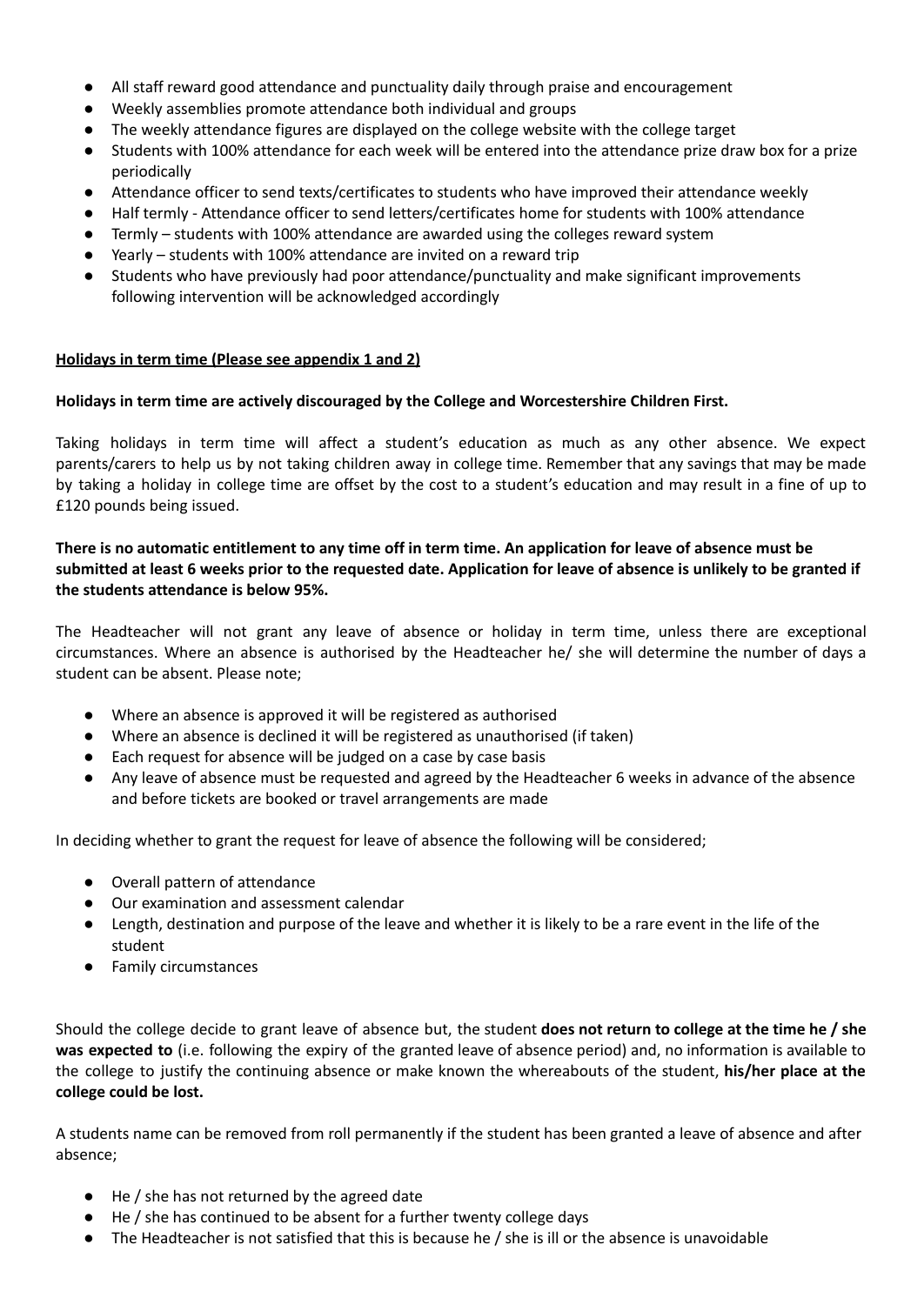- All staff reward good attendance and punctuality daily through praise and encouragement
- Weekly assemblies promote attendance both individual and groups
- The weekly attendance figures are displayed on the college website with the college target
- Students with 100% attendance for each week will be entered into the attendance prize draw box for a prize periodically
- Attendance officer to send texts/certificates to students who have improved their attendance weekly
- Half termly Attendance officer to send letters/certificates home for students with 100% attendance
- Termly students with 100% attendance are awarded using the colleges reward system
- Yearly students with 100% attendance are invited on a reward trip
- Students who have previously had poor attendance/punctuality and make significant improvements following intervention will be acknowledged accordingly

#### **Holidays in term time (Please see appendix 1 and 2)**

#### **Holidays in term time are actively discouraged by the College and Worcestershire Children First.**

Taking holidays in term time will affect a student's education as much as any other absence. We expect parents/carers to help us by not taking children away in college time. Remember that any savings that may be made by taking a holiday in college time are offset by the cost to a student's education and may result in a fine of up to £120 pounds being issued.

## There is no automatic entitlement to any time off in term time. An application for leave of absence must be submitted at least 6 weeks prior to the requested date. Application for leave of absence is unlikely to be granted if **the students attendance is below 95%.**

The Headteacher will not grant any leave of absence or holiday in term time, unless there are exceptional circumstances. Where an absence is authorised by the Headteacher he/ she will determine the number of days a student can be absent. Please note;

- Where an absence is approved it will be registered as authorised
- Where an absence is declined it will be registered as unauthorised (if taken)
- Each request for absence will be judged on a case by case basis
- Any leave of absence must be requested and agreed by the Headteacher 6 weeks in advance of the absence and before tickets are booked or travel arrangements are made

In deciding whether to grant the request for leave of absence the following will be considered;

- Overall pattern of attendance
- Our examination and assessment calendar
- Length, destination and purpose of the leave and whether it is likely to be a rare event in the life of the student
- Family circumstances

Should the college decide to grant leave of absence but, the student **does not return to college at the time he / she was expected to** (i.e. following the expiry of the granted leave of absence period) and, no information is available to the college to justify the continuing absence or make known the whereabouts of the student, **his/her place at the college could be lost.**

A students name can be removed from roll permanently if the student has been granted a leave of absence and after absence;

- He / she has not returned by the agreed date
- He / she has continued to be absent for a further twenty college days
- The Headteacher is not satisfied that this is because he / she is ill or the absence is unavoidable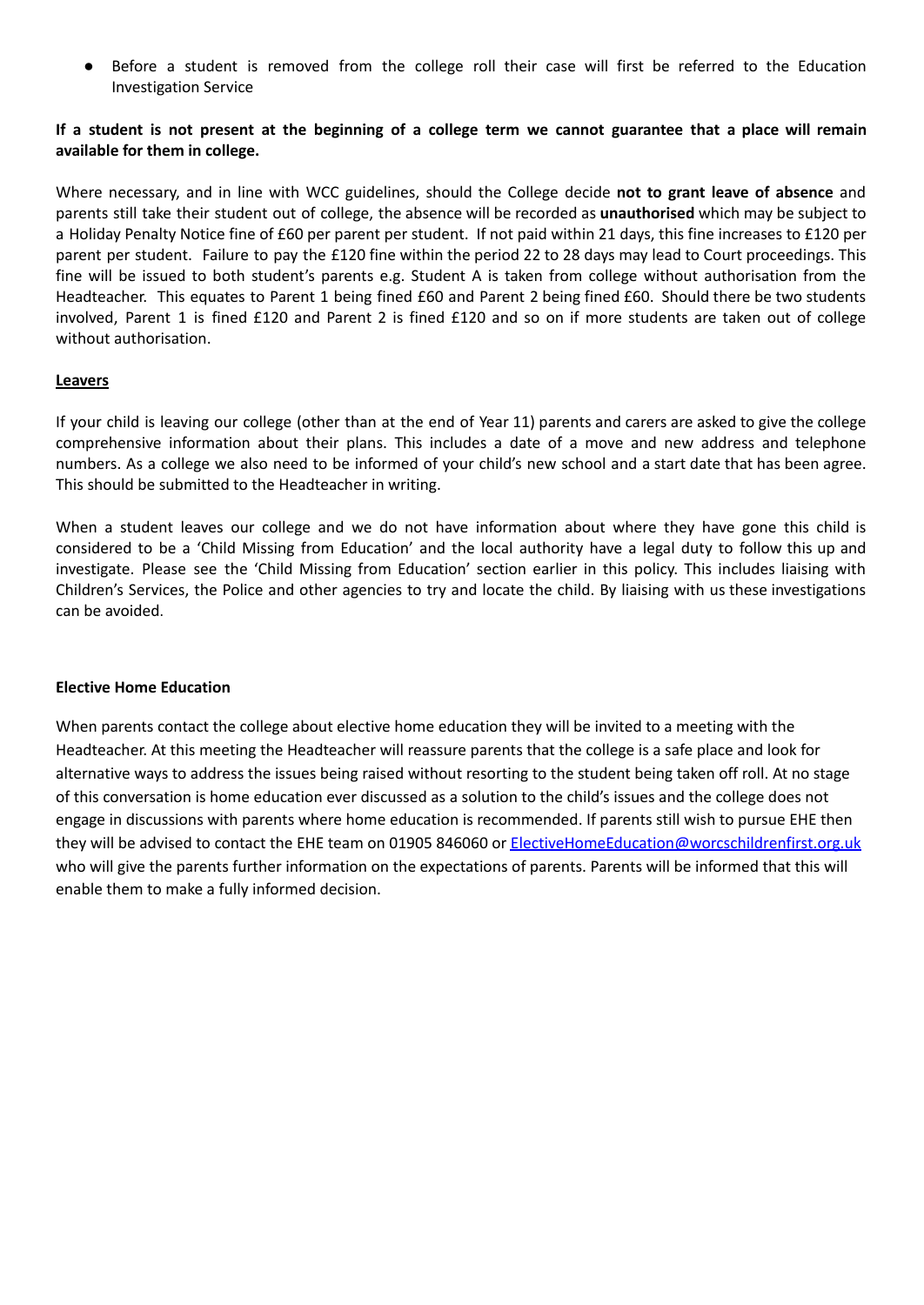Before a student is removed from the college roll their case will first be referred to the Education Investigation Service

#### If a student is not present at the beginning of a college term we cannot guarantee that a place will remain **available for them in college.**

Where necessary, and in line with WCC guidelines, should the College decide **not to grant leave of absence** and parents still take their student out of college, the absence will be recorded as **unauthorised** which may be subject to a Holiday Penalty Notice fine of £60 per parent per student. If not paid within 21 days, this fine increases to £120 per parent per student. Failure to pay the £120 fine within the period 22 to 28 days may lead to Court proceedings. This fine will be issued to both student's parents e.g. Student A is taken from college without authorisation from the Headteacher. This equates to Parent 1 being fined £60 and Parent 2 being fined £60. Should there be two students involved, Parent 1 is fined £120 and Parent 2 is fined £120 and so on if more students are taken out of college without authorisation.

#### **Leavers**

If your child is leaving our college (other than at the end of Year 11) parents and carers are asked to give the college comprehensive information about their plans. This includes a date of a move and new address and telephone numbers. As a college we also need to be informed of your child's new school and a start date that has been agree. This should be submitted to the Headteacher in writing.

When a student leaves our college and we do not have information about where they have gone this child is considered to be a 'Child Missing from Education' and the local authority have a legal duty to follow this up and investigate. Please see the 'Child Missing from Education' section earlier in this policy. This includes liaising with Children's Services, the Police and other agencies to try and locate the child. By liaising with us these investigations can be avoided.

#### **Elective Home Education**

When parents contact the college about elective home education they will be invited to a meeting with the Headteacher. At this meeting the Headteacher will reassure parents that the college is a safe place and look for alternative ways to address the issues being raised without resorting to the student being taken off roll. At no stage of this conversation is home education ever discussed as a solution to the child's issues and the college does not engage in discussions with parents where home education is recommended. If parents still wish to pursue EHE then they will be advised to contact the EHE team on 01905 846060 or [ElectiveHomeEducation@worcschildrenfirst.org.uk](mailto:ElectiveHomeEducation@worcschildrenfirst.org.uk) who will give the parents further information on the expectations of parents. Parents will be informed that this will enable them to make a fully informed decision.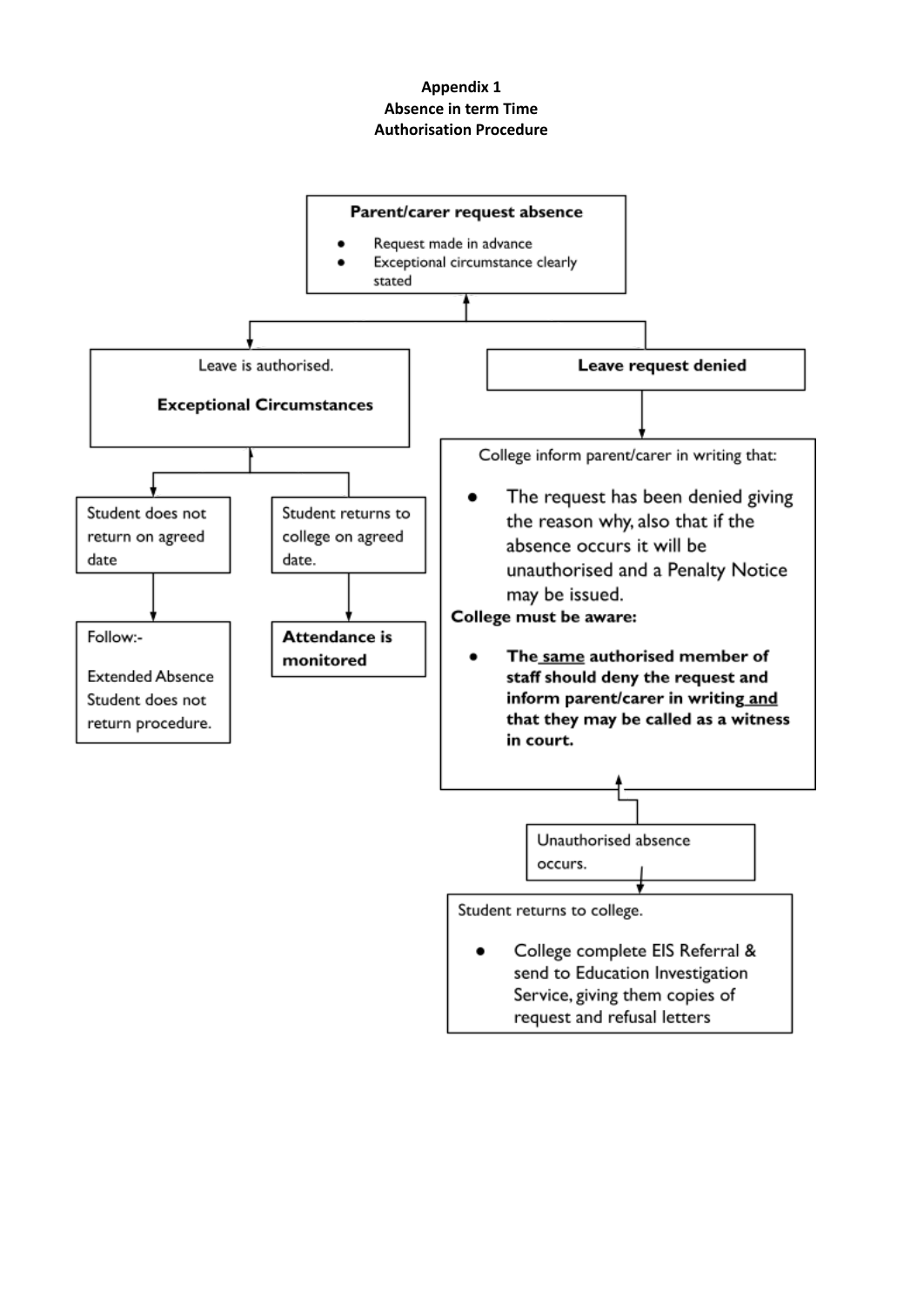# **Appendix 1 Absence in term Time Authorisation Procedure**

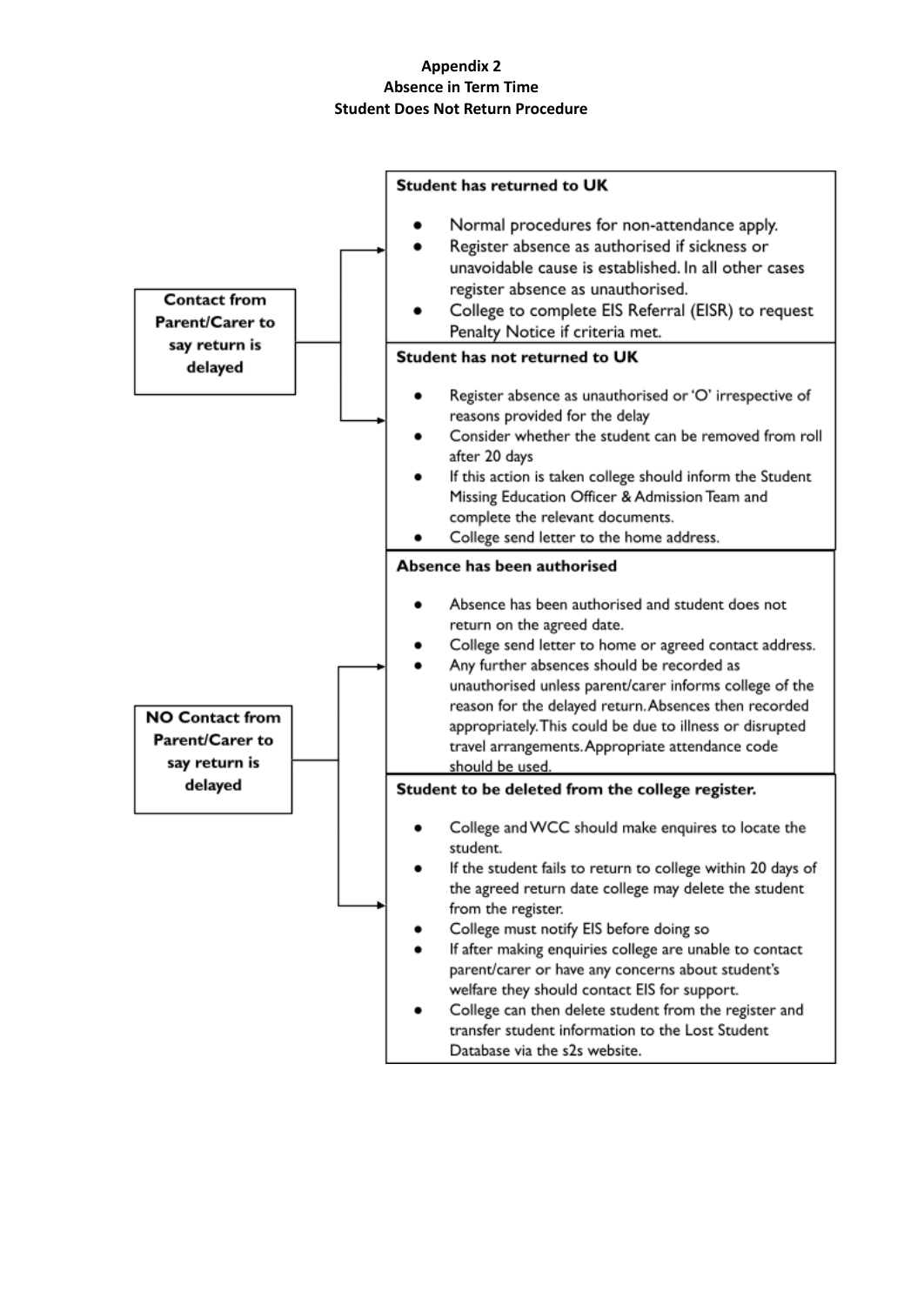# **Appendix 2 Absence in Term Time Student Does Not Return Procedure**